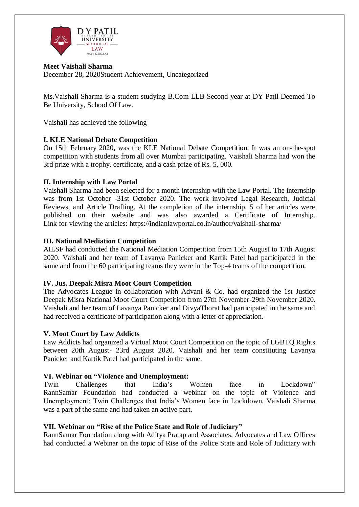

#### **Meet Vaishali Sharma** December 28, 2020Student [Achievement,](http://www.dypatil.edu/schools/schooloflaw/category/student-achievement/) [Uncategorized](http://www.dypatil.edu/schools/schooloflaw/category/uncategorized/)

Ms.Vaishali Sharma is a student studying B.Com LLB Second year at DY Patil Deemed To Be University, School Of Law.

Vaishali has achieved the following

## **I. KLE National Debate Competition**

On 15th February 2020, was the KLE National Debate Competition. It was an on-the-spot competition with students from all over Mumbai participating. Vaishali Sharma had won the 3rd prize with a trophy, certificate, and a cash prize of Rs. 5, 000.

# **II. Internship with Law Portal**

Vaishali Sharma had been selected for a month internship with the Law Portal. The internship was from 1st October -31st October 2020. The work involved Legal Research, Judicial Reviews, and Article Drafting. At the completion of the internship, 5 of her articles were published on their website and was also awarded a Certificate of Internship. Link for viewing the articles: https://indianlawportal.co.in/author/vaishali-sharma/

## **III. National Mediation Competition**

AILSF had conducted the National Mediation Competition from 15th August to 17th August 2020. Vaishali and her team of Lavanya Panicker and Kartik Patel had participated in the same and from the 60 participating teams they were in the Top-4 teams of the competition.

## **IV. Jus. Deepak Misra Moot Court Competition**

The Advocates League in collaboration with Advani & Co. had organized the 1st Justice Deepak Misra National Moot Court Competition from 27th November-29th November 2020. Vaishali and her team of Lavanya Panicker and DivyaThorat had participated in the same and had received a certificate of participation along with a letter of appreciation.

## **V. Moot Court by Law Addicts**

Law Addicts had organized a Virtual Moot Court Competition on the topic of LGBTQ Rights between 20th August- 23rd August 2020. Vaishali and her team constituting Lavanya Panicker and Kartik Patel had participated in the same.

## **VI. Webinar on "Violence and Unemployment:**

Twin Challenges that India's Women face in Lockdown" RannSamar Foundation had conducted a webinar on the topic of Violence and Unemployment: Twin Challenges that India's Women face in Lockdown. Vaishali Sharma was a part of the same and had taken an active part.

## **VII. Webinar on "Rise of the Police State and Role of Judiciary"**

RannSamar Foundation along with Aditya Pratap and Associates, Advocates and Law Offices had conducted a Webinar on the topic of Rise of the Police State and Role of Judiciary with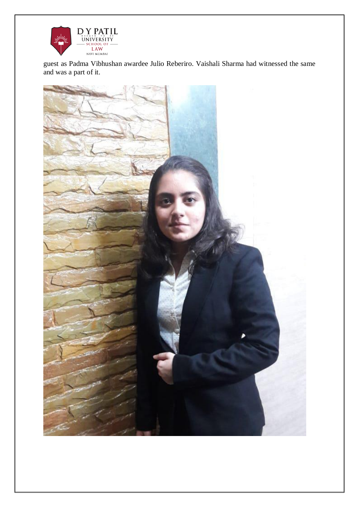

guest as Padma Vibhushan awardee Julio Reberiro. Vaishali Sharma had witnessed the same and was a part of it.

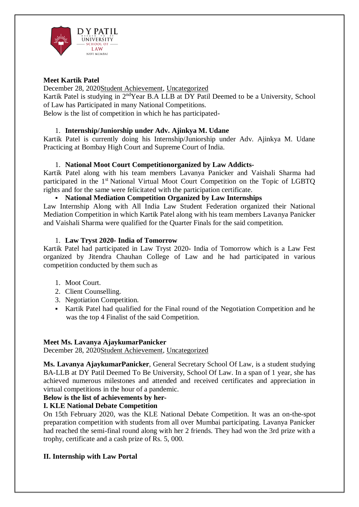

#### **Meet Kartik Patel**

December 28, 2020Student [Achievement,](http://www.dypatil.edu/schools/schooloflaw/category/student-achievement/) [Uncategorized](http://www.dypatil.edu/schools/schooloflaw/category/uncategorized/)

Kartik Patel is studying in 2ndYear B.A LLB at DY Patil Deemed to be a University, School of Law has Participated in many National Competitions.

Below is the list of competition in which he has participated-

# 1. **Internship/Juniorship under Adv. Ajinkya M. Udane**

Kartik Patel is currently doing his Internship/Juniorship under Adv. Ajinkya M. Udane Practicing at Bombay High Court and Supreme Court of India.

## 1. **National Moot Court Competitionorganized by Law Addicts-**

Kartik Patel along with his team members Lavanya Panicker and Vaishali Sharma had participated in the 1<sup>st</sup> National Virtual Moot Court Competition on the Topic of LGBTQ rights and for the same were felicitated with the participation certificate.

#### **National Mediation Competition Organized by Law Internships**

Law Internship Along with All India Law Student Federation organized their National Mediation Competition in which Kartik Patel along with his team members Lavanya Panicker and Vaishali Sharma were qualified for the Quarter Finals for the said competition.

#### 1. **Law Tryst 2020- India of Tomorrow**

Kartik Patel had participated in Law Tryst 2020- India of Tomorrow which is a Law Fest organized by Jitendra Chauhan College of Law and he had participated in various competition conducted by them such as

- 1. Moot Court.
- 2. Client Counselling.
- 3. Negotiation Competition.
- Kartik Patel had qualified for the Final round of the Negotiation Competition and he was the top 4 Finalist of the said Competition.

## **Meet Ms. Lavanya AjaykumarPanicker**

December 28, 2020Student [Achievement,](http://www.dypatil.edu/schools/schooloflaw/category/student-achievement/) [Uncategorized](http://www.dypatil.edu/schools/schooloflaw/category/uncategorized/)

**Ms. Lavanya AjaykumarPanicker**, General Secretary School Of Law, is a student studying BA-LLB at DY Patil Deemed To Be University, School Of Law. In a span of 1 year, she has achieved numerous milestones and attended and received certificates and appreciation in virtual competitions in the hour of a pandemic.

## **Below is the list of achievements by her-**

## **I. KLE National Debate Competition**

On 15th February 2020, was the KLE National Debate Competition. It was an on-the-spot preparation competition with students from all over Mumbai participating. Lavanya Panicker had reached the semi-final round along with her 2 friends. They had won the 3rd prize with a trophy, certificate and a cash prize of Rs. 5, 000.

## **II. Internship with Law Portal**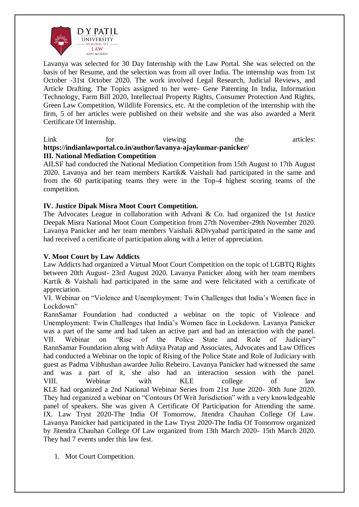

Lavanya was selected for 30 Day Internship with the Law Portal. She was selected on the basis of her Resume, and the selection was from all over India. The internship was from 1st October -31st October 2020. The work involved Legal Research, Judicial Reviews, and Article Drafting. The Topics assigned to her were- Gene Patenting In India, Information Technology, Farm Bill 2020, Intellectual Property Rights, Consumer Protection And Rights, Green Law Competition, Wildlife Forensics, etc. At the completion of the internship with the firm, 5 of her articles were published on their website and she was also awarded a Merit Certificate Of Internship.

#### Link for viewing the articles: **<https://indianlawportal.co.in/author/lavanya-ajaykumar-panicker/> III. National Mediation Competition**

AILSF had conducted the National Mediation Competition from 15th August to 17th August 2020. Lavanya and her team members Kartik& Vaishali had participated in the same and from the 60 participating teams they were in the Top-4 highest scoring teams of the competition.

## **IV. Justice Dipak Misra Moot Court Competition.**

The Advocates League in collaboration with Advani & Co. had organized the 1st Justice Deepak Misra National Moot Court Competition from 27th November-29th November 2020. Lavanya Panicker and her team members Vaishali &Divyahad participated in the same and had received a certificate of participation along with a letter of appreciation.

#### **V. Moot Court by Law Addicts**

Law Addicts had organized a Virtual Moot Court Competition on the topic of LGBTQ Rights between 20th August- 23rd August 2020. Lavanya Panicker along with her team members Kartik & Vaishali had participated in the same and were felicitated with a certificate of appreciation.

VI. Webinar on "Violence and Unemployment: Twin Challenges that India's Women face in Lockdown"

RannSamar Foundation had conducted a webinar on the topic of Violence and Unemployment: Twin Challenges that India's Women face in Lockdown. Lavanya Panicker was a part of the same and had taken an active part and had an interaction with the panel. VII. Webinar on "Rise of the Police State and Role of Judiciary" RannSamar Foundation along with Aditya Pratap and Associates, Advocates and Law Offices had conducted a Webinar on the topic of Rising of the Police State and Role of Judiciary with guest as Padma Vibhushan awardee Julio Rebeiro. Lavanya Panicker had witnessed the same and was a part of it, she also had an interaction session with the panel. VIII. Webinar with KLE college of law KLE had organized a 2nd National Webinar Series from 21st June 2020- 30th June 2020. They had organized a webinar on "Contours Of Writ Jurisdiction" with a very knowledgeable panel of speakers. She was given A Certificate Of Participation for Attending the same. IX. Law Tryst 2020-The India Of Tomorrow, Jitendra Chauhan College Of Law. Lavanya Panicker had participated in the Law Tryst 2020-The India Of Tomorrow organized by Jitendra Chauhan College Of Law organized from 13th March 2020- 15th March 2020. They had 7 events under this law fest.

1. Mot Court Competition.